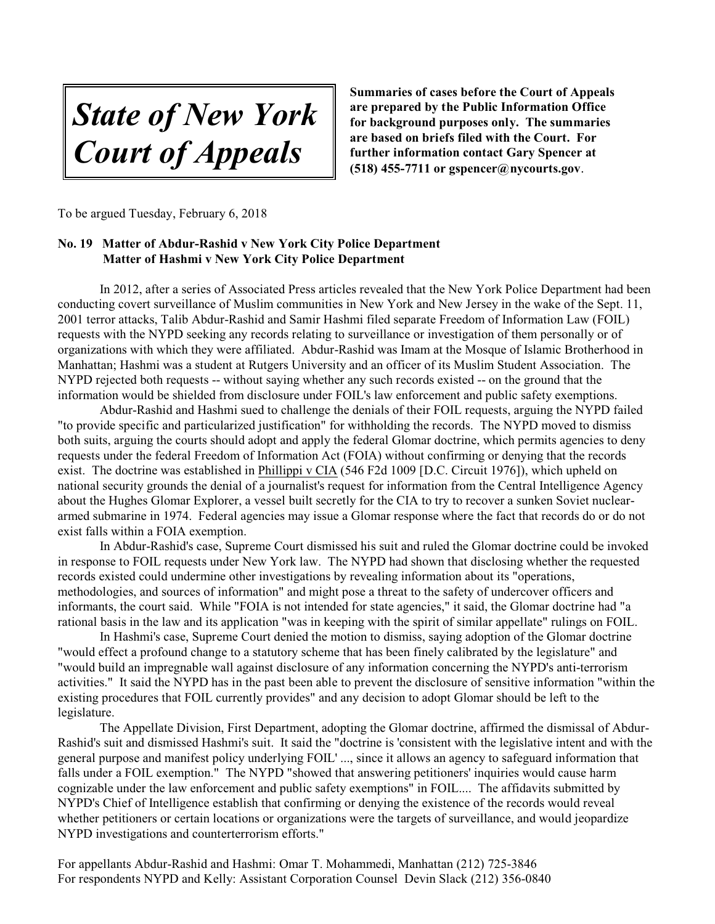*State of New York Court of Appeals*

**Summaries of cases before the Court of Appeals are prepared by the Public Information Office for background purposes only. The summaries are based on briefs filed with the Court. For further information contact Gary Spencer at (518) 455-7711 or gspencer@nycourts.gov**.

To be argued Tuesday, February 6, 2018

## **No. 19 Matter of Abdur-Rashid v New York City Police Department Matter of Hashmi v New York City Police Department**

In 2012, after a series of Associated Press articles revealed that the New York Police Department had been conducting covert surveillance of Muslim communities in New York and New Jersey in the wake of the Sept. 11, 2001 terror attacks, Talib Abdur-Rashid and Samir Hashmi filed separate Freedom of Information Law (FOIL) requests with the NYPD seeking any records relating to surveillance or investigation of them personally or of organizations with which they were affiliated. Abdur-Rashid was Imam at the Mosque of Islamic Brotherhood in Manhattan; Hashmi was a student at Rutgers University and an officer of its Muslim Student Association. The NYPD rejected both requests -- without saying whether any such records existed -- on the ground that the information would be shielded from disclosure under FOIL's law enforcement and public safety exemptions.

Abdur-Rashid and Hashmi sued to challenge the denials of their FOIL requests, arguing the NYPD failed "to provide specific and particularized justification" for withholding the records. The NYPD moved to dismiss both suits, arguing the courts should adopt and apply the federal Glomar doctrine, which permits agencies to deny requests under the federal Freedom of Information Act (FOIA) without confirming or denying that the records exist. The doctrine was established in Phillippi v CIA (546 F2d 1009 [D.C. Circuit 1976]), which upheld on national security grounds the denial of a journalist's request for information from the Central Intelligence Agency about the Hughes Glomar Explorer, a vessel built secretly for the CIA to try to recover a sunken Soviet nucleararmed submarine in 1974. Federal agencies may issue a Glomar response where the fact that records do or do not exist falls within a FOIA exemption.

In Abdur-Rashid's case, Supreme Court dismissed his suit and ruled the Glomar doctrine could be invoked in response to FOIL requests under New York law. The NYPD had shown that disclosing whether the requested records existed could undermine other investigations by revealing information about its "operations, methodologies, and sources of information" and might pose a threat to the safety of undercover officers and informants, the court said. While "FOIA is not intended for state agencies," it said, the Glomar doctrine had "a rational basis in the law and its application "was in keeping with the spirit of similar appellate" rulings on FOIL.

In Hashmi's case, Supreme Court denied the motion to dismiss, saying adoption of the Glomar doctrine "would effect a profound change to a statutory scheme that has been finely calibrated by the legislature" and "would build an impregnable wall against disclosure of any information concerning the NYPD's anti-terrorism activities." It said the NYPD has in the past been able to prevent the disclosure of sensitive information "within the existing procedures that FOIL currently provides" and any decision to adopt Glomar should be left to the legislature.

The Appellate Division, First Department, adopting the Glomar doctrine, affirmed the dismissal of Abdur-Rashid's suit and dismissed Hashmi's suit. It said the "doctrine is 'consistent with the legislative intent and with the general purpose and manifest policy underlying FOIL' ..., since it allows an agency to safeguard information that falls under a FOIL exemption." The NYPD "showed that answering petitioners' inquiries would cause harm cognizable under the law enforcement and public safety exemptions" in FOIL.... The affidavits submitted by NYPD's Chief of Intelligence establish that confirming or denying the existence of the records would reveal whether petitioners or certain locations or organizations were the targets of surveillance, and would jeopardize NYPD investigations and counterterrorism efforts."

For appellants Abdur-Rashid and Hashmi: Omar T. Mohammedi, Manhattan (212) 725-3846 For respondents NYPD and Kelly: Assistant Corporation Counsel Devin Slack (212) 356-0840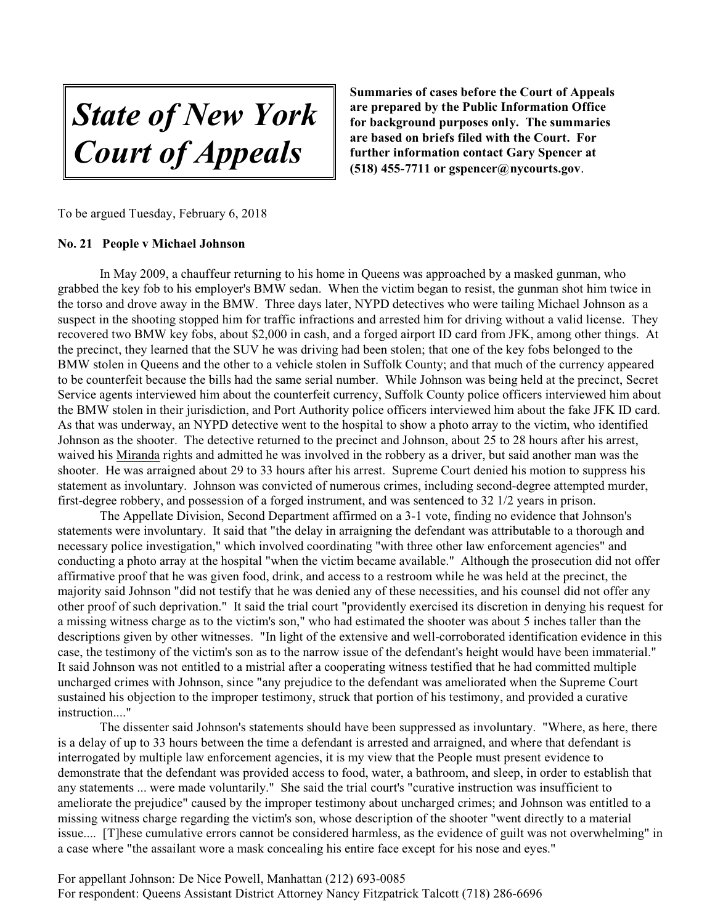*State of New York Court of Appeals*

**Summaries of cases before the Court of Appeals are prepared by the Public Information Office for background purposes only. The summaries are based on briefs filed with the Court. For further information contact Gary Spencer at (518) 455-7711 or gspencer@nycourts.gov**.

To be argued Tuesday, February 6, 2018

## **No. 21 People v Michael Johnson**

In May 2009, a chauffeur returning to his home in Queens was approached by a masked gunman, who grabbed the key fob to his employer's BMW sedan. When the victim began to resist, the gunman shot him twice in the torso and drove away in the BMW. Three days later, NYPD detectives who were tailing Michael Johnson as a suspect in the shooting stopped him for traffic infractions and arrested him for driving without a valid license. They recovered two BMW key fobs, about \$2,000 in cash, and a forged airport ID card from JFK, among other things. At the precinct, they learned that the SUV he was driving had been stolen; that one of the key fobs belonged to the BMW stolen in Queens and the other to a vehicle stolen in Suffolk County; and that much of the currency appeared to be counterfeit because the bills had the same serial number. While Johnson was being held at the precinct, Secret Service agents interviewed him about the counterfeit currency, Suffolk County police officers interviewed him about the BMW stolen in their jurisdiction, and Port Authority police officers interviewed him about the fake JFK ID card. As that was underway, an NYPD detective went to the hospital to show a photo array to the victim, who identified Johnson as the shooter. The detective returned to the precinct and Johnson, about 25 to 28 hours after his arrest, waived his Miranda rights and admitted he was involved in the robbery as a driver, but said another man was the shooter. He was arraigned about 29 to 33 hours after his arrest. Supreme Court denied his motion to suppress his statement as involuntary. Johnson was convicted of numerous crimes, including second-degree attempted murder, first-degree robbery, and possession of a forged instrument, and was sentenced to 32 1/2 years in prison.

The Appellate Division, Second Department affirmed on a 3-1 vote, finding no evidence that Johnson's statements were involuntary. It said that "the delay in arraigning the defendant was attributable to a thorough and necessary police investigation," which involved coordinating "with three other law enforcement agencies" and conducting a photo array at the hospital "when the victim became available." Although the prosecution did not offer affirmative proof that he was given food, drink, and access to a restroom while he was held at the precinct, the majority said Johnson "did not testify that he was denied any of these necessities, and his counsel did not offer any other proof of such deprivation." It said the trial court "providently exercised its discretion in denying his request for a missing witness charge as to the victim's son," who had estimated the shooter was about 5 inches taller than the descriptions given by other witnesses. "In light of the extensive and well-corroborated identification evidence in this case, the testimony of the victim's son as to the narrow issue of the defendant's height would have been immaterial." It said Johnson was not entitled to a mistrial after a cooperating witness testified that he had committed multiple uncharged crimes with Johnson, since "any prejudice to the defendant was ameliorated when the Supreme Court sustained his objection to the improper testimony, struck that portion of his testimony, and provided a curative instruction...."

The dissenter said Johnson's statements should have been suppressed as involuntary. "Where, as here, there is a delay of up to 33 hours between the time a defendant is arrested and arraigned, and where that defendant is interrogated by multiple law enforcement agencies, it is my view that the People must present evidence to demonstrate that the defendant was provided access to food, water, a bathroom, and sleep, in order to establish that any statements ... were made voluntarily." She said the trial court's "curative instruction was insufficient to ameliorate the prejudice" caused by the improper testimony about uncharged crimes; and Johnson was entitled to a missing witness charge regarding the victim's son, whose description of the shooter "went directly to a material issue.... [T]hese cumulative errors cannot be considered harmless, as the evidence of guilt was not overwhelming" in a case where "the assailant wore a mask concealing his entire face except for his nose and eyes."